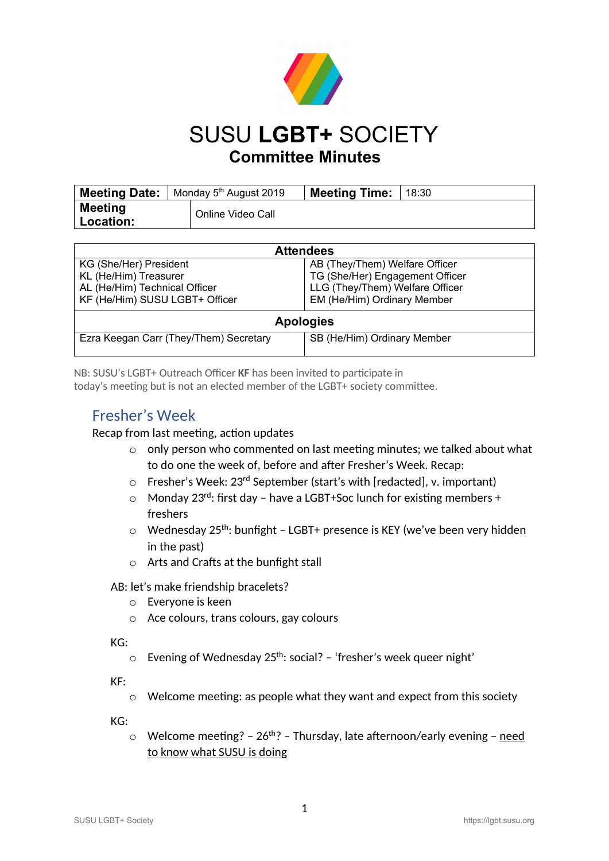

## SUSU **LGBT+** SOCIETY **Committee Minutes**

|                               | <b>Meeting Date:</b>   Monday $5th$ August 2019 |                   | <b>Meeting Time:</b> | 18:30 |
|-------------------------------|-------------------------------------------------|-------------------|----------------------|-------|
| <b>Meeting</b><br>∣ Location: |                                                 | Online Video Call |                      |       |

| <b>Attendees</b>                       |                                 |  |  |  |  |
|----------------------------------------|---------------------------------|--|--|--|--|
| KG (She/Her) President                 | AB (They/Them) Welfare Officer  |  |  |  |  |
| KL (He/Him) Treasurer                  | TG (She/Her) Engagement Officer |  |  |  |  |
| AL (He/Him) Technical Officer          | LLG (They/Them) Welfare Officer |  |  |  |  |
| KF (He/Him) SUSU LGBT+ Officer         | EM (He/Him) Ordinary Member     |  |  |  |  |
| <b>Apologies</b>                       |                                 |  |  |  |  |
| Ezra Keegan Carr (They/Them) Secretary | SB (He/Him) Ordinary Member     |  |  |  |  |

NB: SUSU's LGBT+ Outreach Officer **KF** has been invited to participate in today's meeting but is not an elected member of the LGBT+ society committee.

### Fresher's Week

### Recap from last meeting, action updates

- o only person who commented on last meeting minutes; we talked about what to do one the week of, before and after Fresher's Week. Recap:
- o Fresher's Week: 23rd September (start's with [redacted], v. important)
- $\circ$  Monday 23<sup>rd</sup>: first day have a LGBT+Soc lunch for existing members + freshers
- $\circ$  Wednesday 25<sup>th</sup>: bunfight LGBT+ presence is KEY (we've been very hidden in the past)
- o Arts and Crafts at the bunfight stall

AB: let's make friendship bracelets?

- o Everyone is keen
- o Ace colours, trans colours, gay colours

KG:

 $\circ$  Evening of Wednesday 25<sup>th</sup>: social? - 'fresher's week queer night'

KF:

 $\circ$  Welcome meeting: as people what they want and expect from this society

KG:

 $\circ$  Welcome meeting? - 26<sup>th</sup>? - Thursday, late afternoon/early evening - need to know what SUSU is doing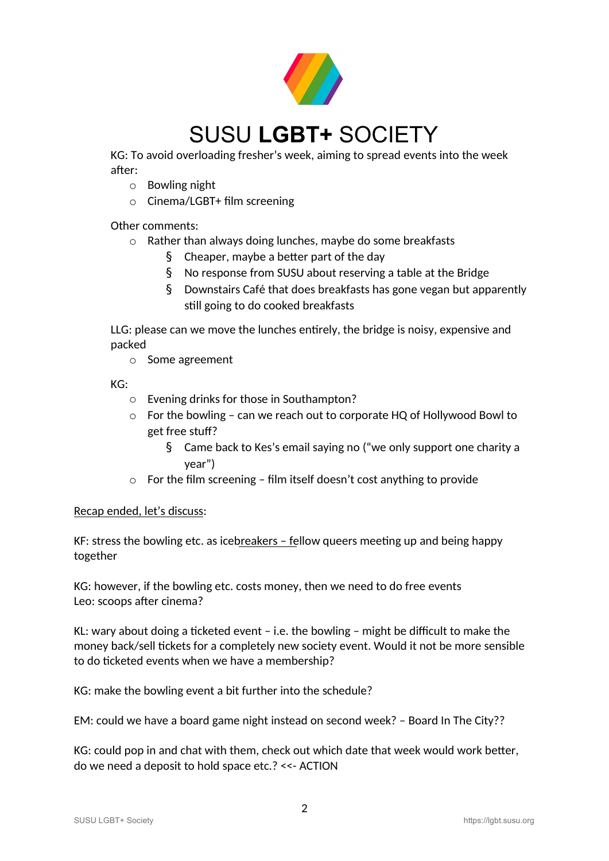

KG: To avoid overloading fresher's week, aiming to spread events into the week after:

- o Bowling night
- o Cinema/LGBT+ film screening

Other comments:

- o Rather than always doing lunches, maybe do some breakfasts
	- § Cheaper, maybe a better part of the day
	- § No response from SUSU about reserving a table at the Bridge
	- § Downstairs Café that does breakfasts has gone vegan but apparently still going to do cooked breakfasts

LLG: please can we move the lunches entirely, the bridge is noisy, expensive and packed

o Some agreement

KG:

- o Evening drinks for those in Southampton?
- o For the bowling can we reach out to corporate HQ of Hollywood Bowl to get free stuff?
	- § Came back to Kes's email saying no ("we only support one charity a year")
- $\circ$  For the film screening film itself doesn't cost anything to provide

#### Recap ended, let's discuss:

KF: stress the bowling etc. as icebreakers  $-$  fellow queers meeting up and being happy together

KG: however, if the bowling etc. costs money, then we need to do free events Leo: scoops after cinema?

KL: wary about doing a ticketed event – i.e. the bowling – might be difficult to make the money back/sell tickets for a completely new society event. Would it not be more sensible to do ticketed events when we have a membership?

KG: make the bowling event a bit further into the schedule?

EM: could we have a board game night instead on second week? – Board In The City??

KG: could pop in and chat with them, check out which date that week would work better, do we need a deposit to hold space etc.? <<- ACTION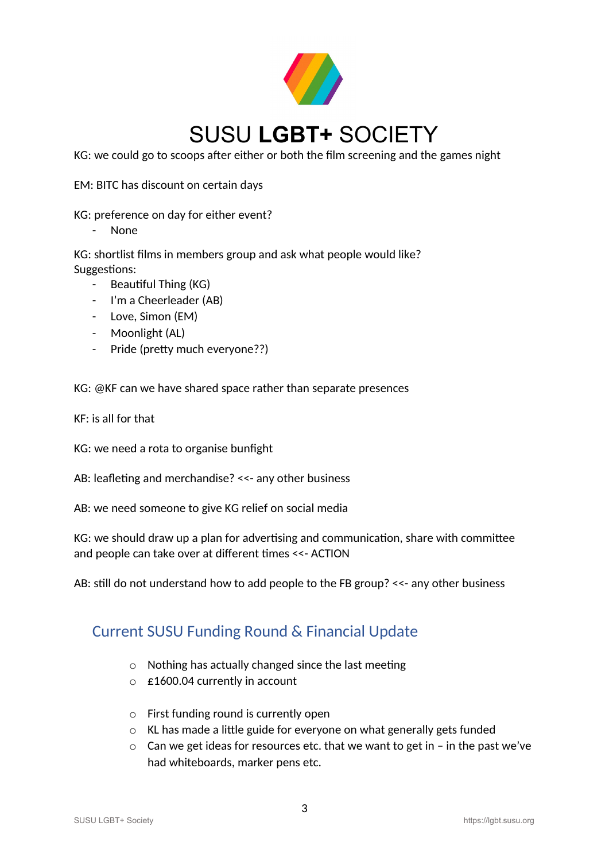

KG: we could go to scoops after either or both the film screening and the games night

EM: BITC has discount on certain days

KG: preference on day for either event?

- None

KG: shortlist films in members group and ask what people would like? Suggestions:

- Beautiful Thing (KG)
- I'm a Cheerleader (AB)
- Love, Simon (EM)
- Moonlight (AL)
- Pride (pretty much everyone??)

KG: @KF can we have shared space rather than separate presences

KF: is all for that

KG: we need a rota to organise bunfight

AB: leafleting and merchandise? <<- any other business

AB: we need someone to give KG relief on social media

KG: we should draw up a plan for advertising and communication, share with committee and people can take over at different times <<- ACTION

AB: still do not understand how to add people to the FB group? <<- any other business

## Current SUSU Funding Round & Financial Update

- o Nothing has actually changed since the last meeting
- o £1600.04 currently in account
- o First funding round is currently open
- o KL has made a little guide for everyone on what generally gets funded
- o Can we get ideas for resources etc. that we want to get in in the past we've had whiteboards, marker pens etc.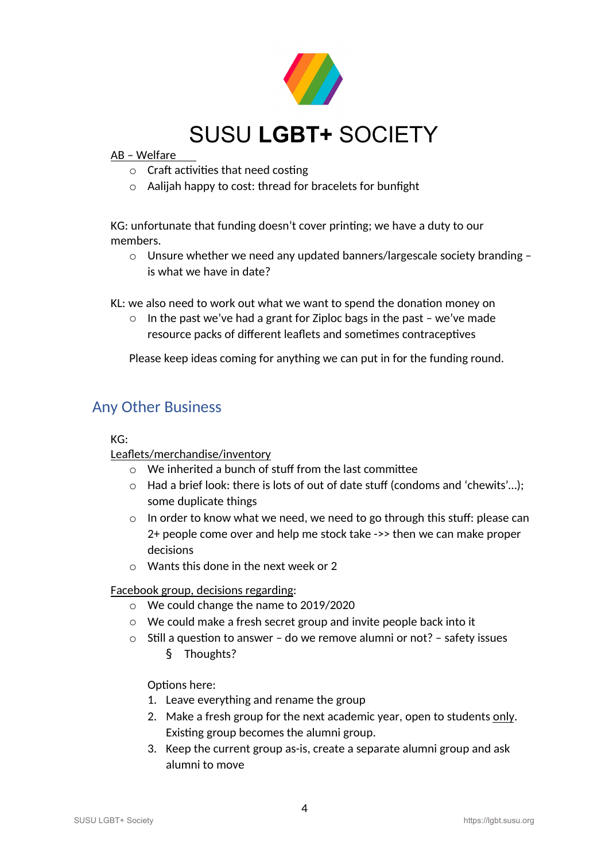

#### AB – Welfare

- o Craft activities that need costing
- o Aalijah happy to cost: thread for bracelets for bunfight

KG: unfortunate that funding doesn't cover printing; we have a duty to our members.

o Unsure whether we need any updated banners/largescale society branding – is what we have in date?

KL: we also need to work out what we want to spend the donation money on

 $\circ$  In the past we've had a grant for Ziploc bags in the past – we've made resource packs of different leaflets and sometimes contraceptives

Please keep ideas coming for anything we can put in for the funding round.

## Any Other Business

#### KG:

### Leaflets/merchandise/inventory

- o We inherited a bunch of stuff from the last committee
- o Had a brief look: there is lots of out of date stuff (condoms and 'chewits'…); some duplicate things
- $\circ$  In order to know what we need, we need to go through this stuff: please can 2+ people come over and help me stock take ->> then we can make proper decisions
- $\circ$  Wants this done in the next week or 2

Facebook group, decisions regarding:

- o We could change the name to 2019/2020
- o We could make a fresh secret group and invite people back into it
- o Still a question to answer do we remove alumni or not? safety issues
	- § Thoughts?

Options here:

- 1. Leave everything and rename the group
- 2. Make a fresh group for the next academic year, open to students only. Existing group becomes the alumni group.
- 3. Keep the current group as-is, create a separate alumni group and ask alumni to move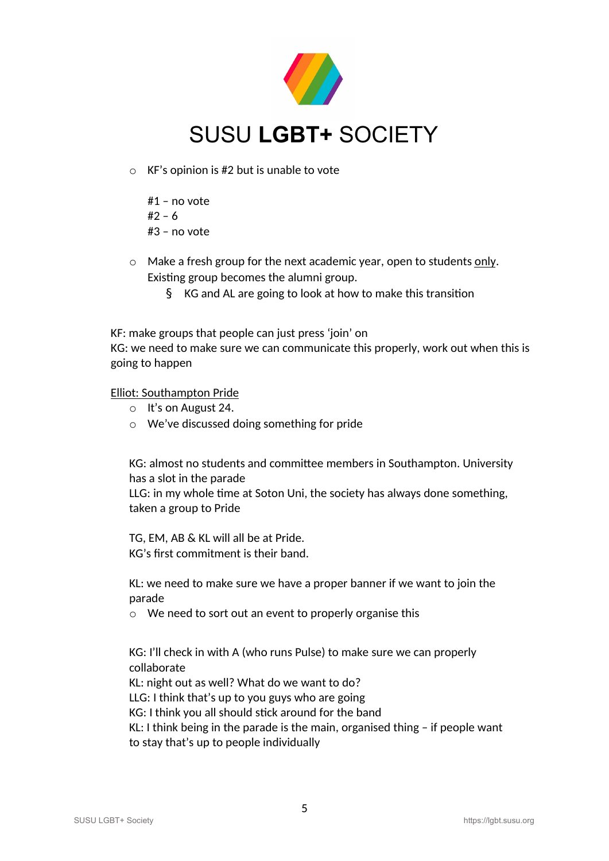

- $\circ$  KF's opinion is #2 but is unable to vote
	- #1 no vote  $#2 - 6$ #3 – no vote
- $\circ$  Make a fresh group for the next academic year, open to students only. Existing group becomes the alumni group.
	- § KG and AL are going to look at how to make this transition

KF: make groups that people can just press 'join' on

KG: we need to make sure we can communicate this properly, work out when this is going to happen

Elliot: Southampton Pride

- o It's on August 24.
- o We've discussed doing something for pride

KG: almost no students and committee members in Southampton. University has a slot in the parade

LLG: in my whole time at Soton Uni, the society has always done something, taken a group to Pride

TG, EM, AB & KL will all be at Pride. KG's first commitment is their band.

KL: we need to make sure we have a proper banner if we want to join the parade

o We need to sort out an event to properly organise this

KG: I'll check in with A (who runs Pulse) to make sure we can properly collaborate

KL: night out as well? What do we want to do?

LLG: I think that's up to you guys who are going

KG: I think you all should stick around for the band

KL: I think being in the parade is the main, organised thing – if people want to stay that's up to people individually